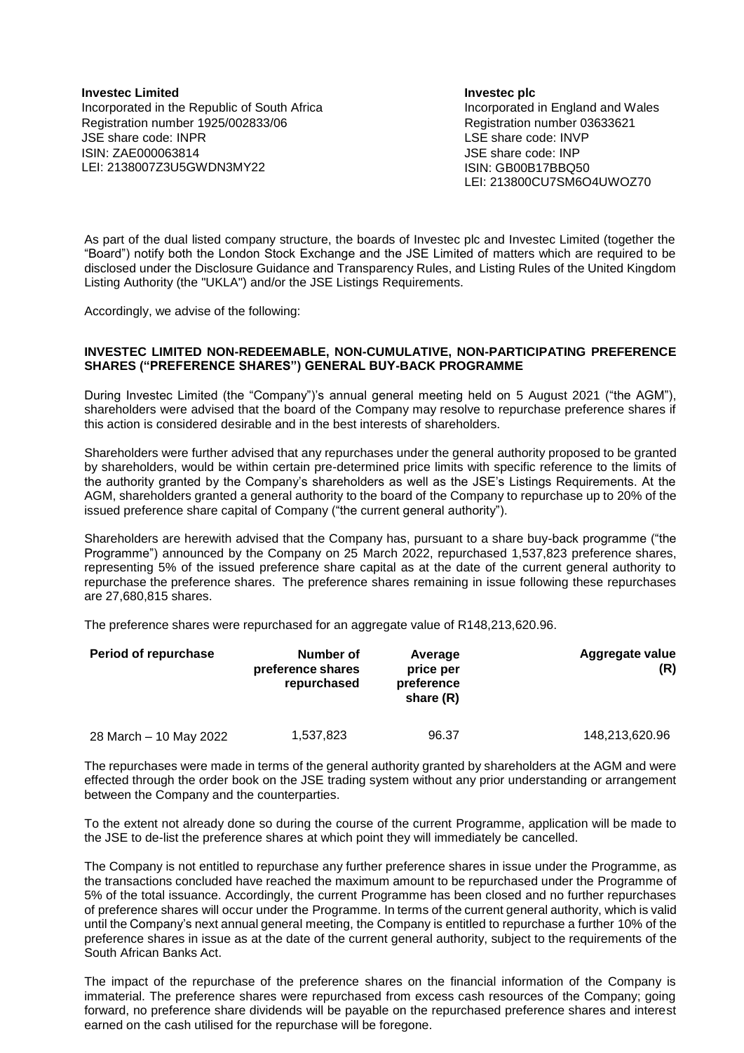**Investec Limited** Incorporated in the Republic of South Africa Registration number 1925/002833/06 JSE share code: INPR ISIN: ZAE000063814 LEI: 2138007Z3U5GWDN3MY22

**Investec plc** Incorporated in England and Wales Registration number 03633621 LSE share code: INVP JSE share code: INP ISIN: GB00B17BBQ50 LEI: 213800CU7SM6O4UWOZ70

As part of the dual listed company structure, the boards of Investec plc and Investec Limited (together the "Board") notify both the London Stock Exchange and the JSE Limited of matters which are required to be disclosed under the Disclosure Guidance and Transparency Rules, and Listing Rules of the United Kingdom Listing Authority (the "UKLA") and/or the JSE Listings Requirements.

Accordingly, we advise of the following:

## **INVESTEC LIMITED NON-REDEEMABLE, NON-CUMULATIVE, NON-PARTICIPATING PREFERENCE SHARES ("PREFERENCE SHARES") GENERAL BUY-BACK PROGRAMME**

During Investec Limited (the "Company")'s annual general meeting held on 5 August 2021 ("the AGM"), shareholders were advised that the board of the Company may resolve to repurchase preference shares if this action is considered desirable and in the best interests of shareholders.

Shareholders were further advised that any repurchases under the general authority proposed to be granted by shareholders, would be within certain pre-determined price limits with specific reference to the limits of the authority granted by the Company's shareholders as well as the JSE's Listings Requirements. At the AGM, shareholders granted a general authority to the board of the Company to repurchase up to 20% of the issued preference share capital of Company ("the current general authority").

Shareholders are herewith advised that the Company has, pursuant to a share buy-back programme ("the Programme") announced by the Company on 25 March 2022, repurchased 1,537,823 preference shares, representing 5% of the issued preference share capital as at the date of the current general authority to repurchase the preference shares. The preference shares remaining in issue following these repurchases are 27,680,815 shares.

The preference shares were repurchased for an aggregate value of R148,213,620.96.

| <b>Period of repurchase</b> | Number of<br>preference shares<br>repurchased | Average<br>price per<br>preference<br>share (R) | Aggregate value<br>(R) |
|-----------------------------|-----------------------------------------------|-------------------------------------------------|------------------------|
| 28 March - 10 May 2022      | 1,537,823                                     | 96.37                                           | 148,213,620.96         |

The repurchases were made in terms of the general authority granted by shareholders at the AGM and were effected through the order book on the JSE trading system without any prior understanding or arrangement between the Company and the counterparties.

To the extent not already done so during the course of the current Programme, application will be made to the JSE to de-list the preference shares at which point they will immediately be cancelled.

The Company is not entitled to repurchase any further preference shares in issue under the Programme, as the transactions concluded have reached the maximum amount to be repurchased under the Programme of 5% of the total issuance. Accordingly, the current Programme has been closed and no further repurchases of preference shares will occur under the Programme. In terms of the current general authority, which is valid until the Company's next annual general meeting, the Company is entitled to repurchase a further 10% of the preference shares in issue as at the date of the current general authority, subject to the requirements of the South African Banks Act.

The impact of the repurchase of the preference shares on the financial information of the Company is immaterial. The preference shares were repurchased from excess cash resources of the Company; going forward, no preference share dividends will be payable on the repurchased preference shares and interest earned on the cash utilised for the repurchase will be foregone.